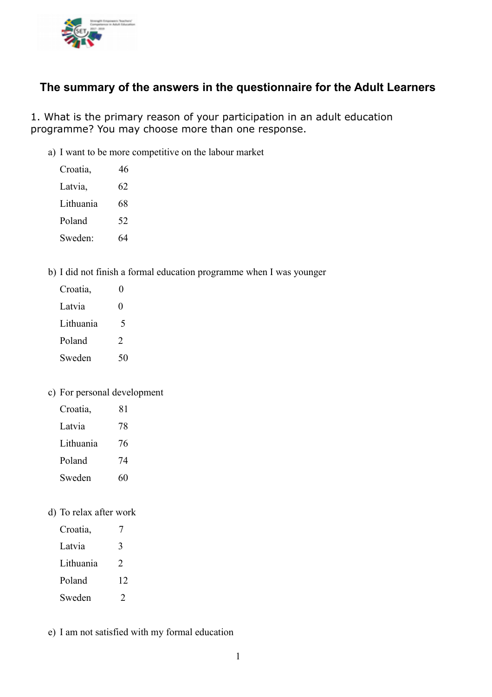

# **The summary of the answers in the questionnaire for the Adult Learners**

1. What is the primary reason of your participation in an adult education programme? You may choose more than one response.

a) I want to be more competitive on the labour market

| Croatia,  | 46 |
|-----------|----|
| Latvia,   | 62 |
| Lithuania | 68 |
| Poland    | 52 |
| Sweden:   | 64 |
|           |    |

b) I did not finish a formal education programme when I was younger

| Croatia,  | 0             |
|-----------|---------------|
| Latvia    | 0             |
| Lithuania | 5             |
| Poland    | $\mathcal{P}$ |
| Sweden    | 50            |

### c) For personal development

| Croatia,  | 81 |
|-----------|----|
| Latvia    | 78 |
| Lithuania | 76 |
| Poland    | 74 |
| Sweden    | 60 |

d) To relax after work

| Croatia,  |               |
|-----------|---------------|
| Latvia    | 3             |
| Lithuania | $\mathcal{P}$ |
| Poland    | 12            |
| Sweden    | $\mathcal{I}$ |

e) I am not satisfied with my formal education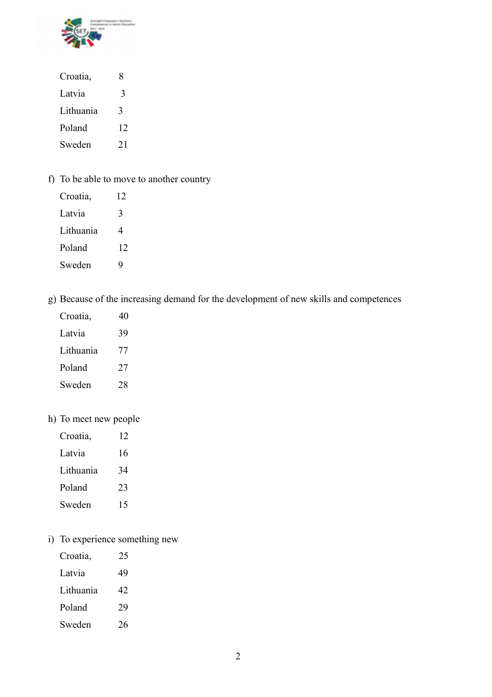

| Croatia,  | 8  |
|-----------|----|
| Latvia    | 3  |
| Lithuania | 3  |
| Poland    | 12 |
| Sweden    | 21 |

f) To be able to move to another country

| Croatia,  | 12 |
|-----------|----|
| Latvia    | 3  |
| Lithuania | 4  |
| Poland    | 12 |
| Sweden    | Q  |

g) Because of the increasing demand for the development of new skills and competences

| 40 |
|----|
| 39 |
| 77 |
| 27 |
| 28 |
|    |

# h) To meet new people

| Croatia,  | 12 |
|-----------|----|
| Latvia    | 16 |
| Lithuania | 34 |
| Poland    | 23 |
| Sweden    | 15 |

i) To experience something new

| Croatia,  | 25 |
|-----------|----|
| Latvia    | 49 |
| Lithuania | 42 |
| Poland    | 29 |
| Sweden    | 26 |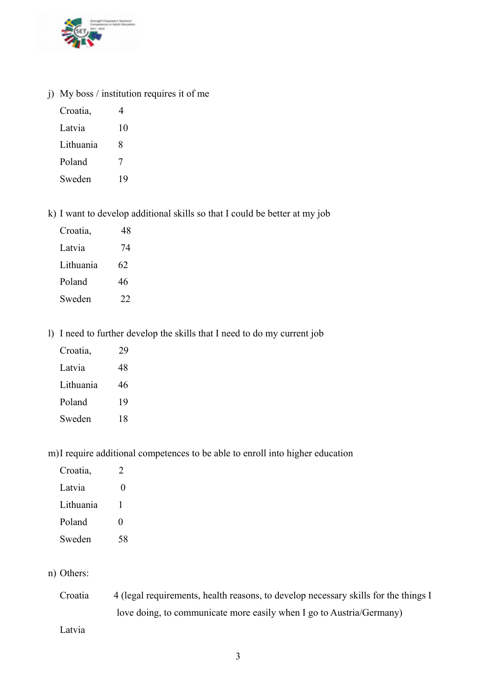

j) My boss / institution requires it of me

| Croatia,  | 4  |
|-----------|----|
| Latvia    | 10 |
| Lithuania | 8  |
| Poland    | 7  |
| Sweden    | 19 |

k) I want to develop additional skills so that I could be better at my job

| Croatia,  | 48 |
|-----------|----|
| Latvia    | 74 |
| Lithuania | 62 |
| Poland    | 46 |
| Sweden    | 22 |

l) I need to further develop the skills that I need to do my current job

| Croatia,  | 29 |
|-----------|----|
| Latvia    | 48 |
| Lithuania | 46 |
| Poland    | 19 |
| Sweden    | 18 |

m)I require additional competences to be able to enroll into higher education

| Croatia,  | ') |
|-----------|----|
| Latvia    | 0  |
| Lithuania | 1  |
| Poland    | 0  |
| Sweden    | 58 |
|           |    |

n) Others:

| Croatia | 4 (legal requirements, health reasons, to develop necessary skills for the things I |
|---------|-------------------------------------------------------------------------------------|
|         | love doing, to communicate more easily when I go to Austria/Germany)                |

Latvia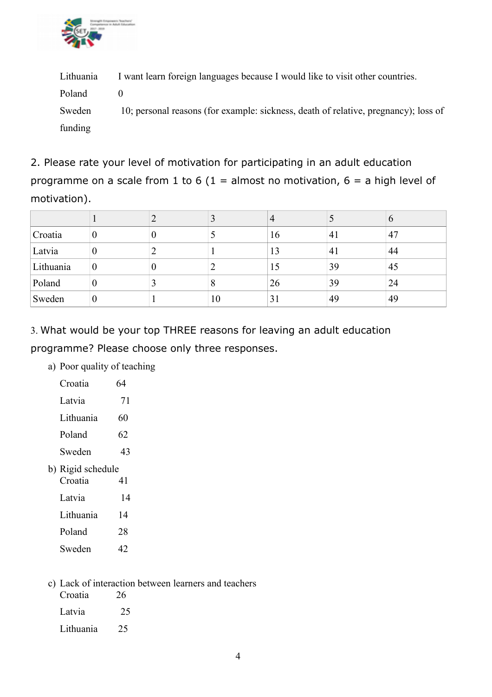

Lithuania I want learn foreign languages because I would like to visit other countries. Poland 0 Sweden 10; personal reasons (for example: sickness, death of relative, pregnancy); loss of funding

2. Please rate your level of motivation for participating in an adult education programme on a scale from 1 to 6 (1 = almost no motivation, 6 = a high level of motivation).

|           |          |   |    |    |    | $\mathbf o$ |
|-----------|----------|---|----|----|----|-------------|
| Croatia   | v        | U |    | 16 | 4  | 47          |
| Latvia    | v        |   |    | 13 | 4  | 44          |
| Lithuania | $\theta$ | v |    | 15 | 39 | 45          |
| Poland    |          |   |    | 26 | 39 | 24          |
| Sweden    | v        |   | 10 | 31 | 49 | 49          |

3. What would be your top THREE reasons for leaving an adult education programme? Please choose only three responses.

a) Poor quality of teaching

| Croatia           | 64 |
|-------------------|----|
| Latvia            | 71 |
| Lithuania         | 60 |
| Poland            | 62 |
| Sweden            | 43 |
| b) Rigid schedule |    |
| Croatia           | 41 |
| Latvia            | 14 |
| Lithuania         | 14 |
| Poland            | 28 |
|                   |    |

c) Lack of interaction between learners and teachers

| Croatia   | 26 |
|-----------|----|
| Latvia    | 25 |
| Lithuania |    |

Sweden 42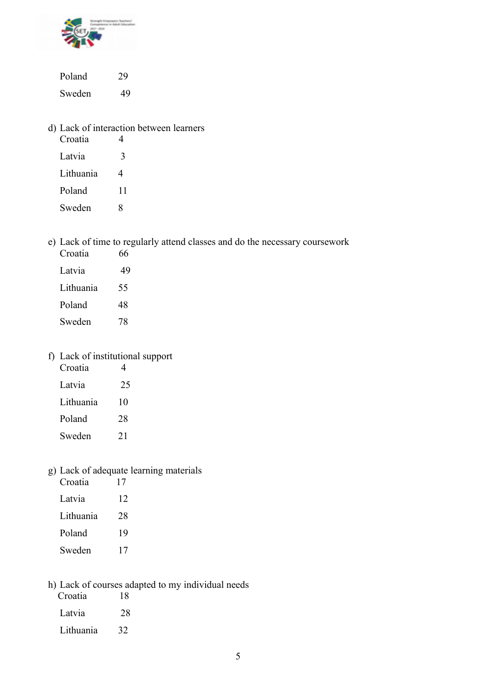

Poland 29 Sweden 49

d) Lack of interaction between learners

| Croatia   |    |
|-----------|----|
| Latvia    | 3  |
| Lithuania | 4  |
| Poland    | 11 |
| Sweden    | 8  |

e) Lack of time to regularly attend classes and do the necessary coursework

| Croatia   | 66 |
|-----------|----|
| Latvia    | 49 |
| Lithuania | 55 |
| Poland    | 48 |
| Sweden    | 78 |

# f) Lack of institutional support

| Croatia   |    |
|-----------|----|
| Latvia    | 25 |
| Lithuania | 10 |
| Poland    | 28 |
| Sweden    | 21 |

# g) Lack of adequate learning materials

| Croatia   | 17 |
|-----------|----|
| Latvia    | 12 |
| Lithuania | 28 |
| Poland    | 19 |
| Sweden    | 17 |

h) Lack of courses adapted to my individual needs

| Croatia   | 18 |
|-----------|----|
| Latvia    | 28 |
| Lithuania | 32 |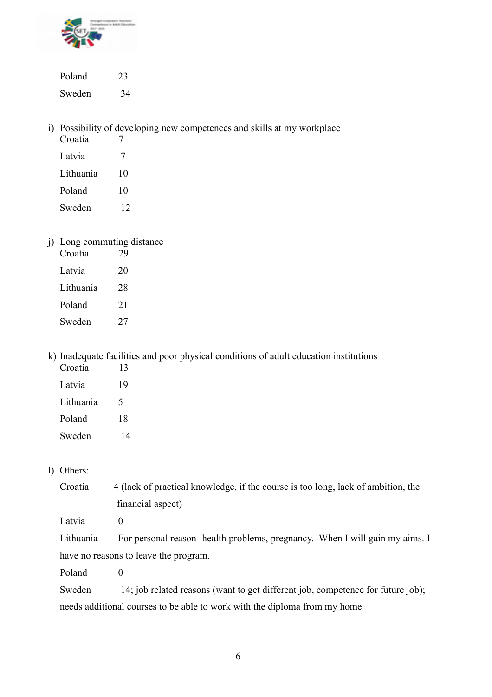

Poland 23 Sweden 34

i) Possibility of developing new competences and skills at my workplace

| Croatia   |    |
|-----------|----|
| Latvia    | 7  |
| Lithuania | 10 |
| Poland    | 10 |
| Sweden    | 12 |

j) Long commuting distance

| Croatia   | 29 |
|-----------|----|
| Latvia    | 20 |
| Lithuania | 28 |
| Poland    | 21 |
| Sweden    | 27 |

k) Inadequate facilities and poor physical conditions of adult education institutions

| Croatia   | 13 |
|-----------|----|
| Latvia    | 19 |
| Lithuania | 5  |
| Poland    | 18 |
| Sweden    | 14 |

### l) Others:

Croatia 4 (lack of practical knowledge, if the course is too long, lack of ambition, the financial aspect)

Latvia 0

Lithuania For personal reason- health problems, pregnancy. When I will gain my aims. I have no reasons to leave the program.

Poland 0

Sweden 14; job related reasons (want to get different job, competence for future job); needs additional courses to be able to work with the diploma from my home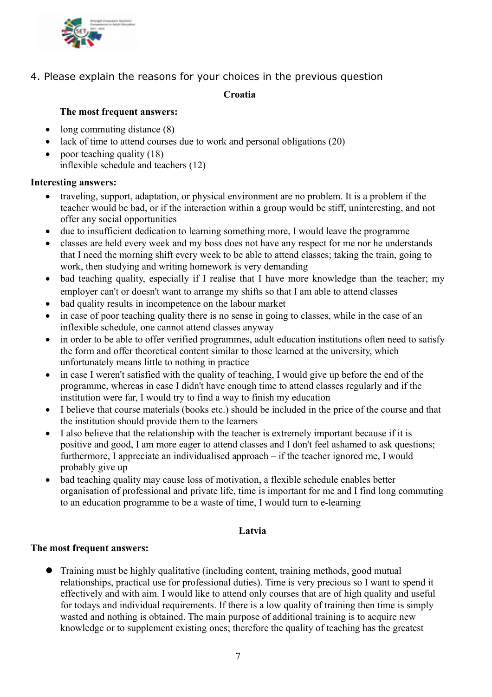

4. Please explain the reasons for your choices in the previous question

#### **Croatia**

### **The most frequent answers:**

- $\bullet$  long commuting distance  $(8)$
- lack of time to attend courses due to work and personal obligations (20)
- poor teaching quality  $(18)$ inflexible schedule and teachers (12)

### **Interesting answers:**

- traveling, support, adaptation, or physical environment are no problem. It is a problem if the teacher would be bad, or if the interaction within a group would be stiff, uninteresting, and not offer any social opportunities
- due to insufficient dedication to learning something more, I would leave the programme
- classes are held every week and my boss does not have any respect for me nor he understands that I need the morning shift every week to be able to attend classes; taking the train, going to work, then studying and writing homework is very demanding
- bad teaching quality, especially if I realise that I have more knowledge than the teacher; my employer can't or doesn't want to arrange my shifts so that I am able to attend classes
- bad quality results in incompetence on the labour market
- in case of poor teaching quality there is no sense in going to classes, while in the case of an inflexible schedule, one cannot attend classes anyway
- in order to be able to offer verified programmes, adult education institutions often need to satisfy the form and offer theoretical content similar to those learned at the university, which unfortunately means little to nothing in practice
- in case I weren't satisfied with the quality of teaching, I would give up before the end of the programme, whereas in case I didn't have enough time to attend classes regularly and if the institution were far, I would try to find a way to finish my education
- I believe that course materials (books etc.) should be included in the price of the course and that the institution should provide them to the learners
- I also believe that the relationship with the teacher is extremely important because if it is positive and good, I am more eager to attend classes and I don't feel ashamed to ask questions; furthermore, I appreciate an individualised approach – if the teacher ignored me, I would probably give up
- bad teaching quality may cause loss of motivation, a flexible schedule enables better organisation of professional and private life, time is important for me and I find long commuting to an education programme to be a waste of time, I would turn to e-learning

### **Latvia**

### **The most frequent answers:**

 Training must be highly qualitative (including content, training methods, good mutual relationships, practical use for professional duties). Time is very precious so I want to spend it effectively and with aim. I would like to attend only courses that are of high quality and useful for todays and individual requirements. If there is a low quality of training then time is simply wasted and nothing is obtained. The main purpose of additional training is to acquire new knowledge or to supplement existing ones; therefore the quality of teaching has the greatest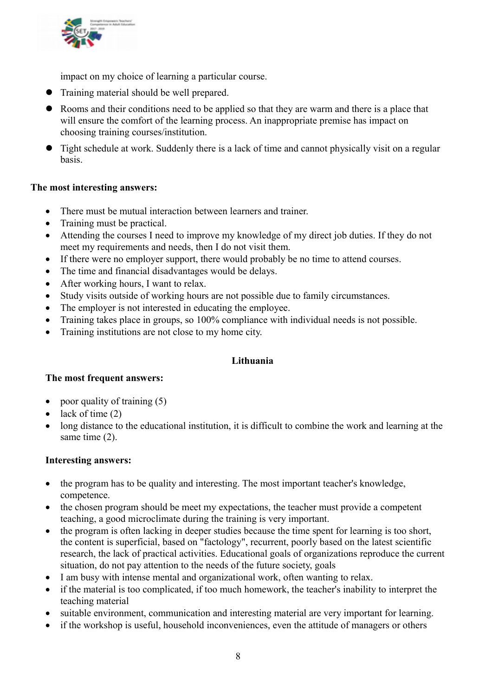

impact on my choice of learning a particular course.

- Training material should be well prepared.
- Rooms and their conditions need to be applied so that they are warm and there is a place that will ensure the comfort of the learning process. An inappropriate premise has impact on choosing training courses/institution.
- Tight schedule at work. Suddenly there is a lack of time and cannot physically visit on a regular basis.

### **The most interesting answers:**

- There must be mutual interaction between learners and trainer.
- Training must be practical.
- Attending the courses I need to improve my knowledge of my direct job duties. If they do not meet my requirements and needs, then I do not visit them.
- If there were no employer support, there would probably be no time to attend courses.
- The time and financial disadvantages would be delays.
- After working hours, I want to relax.
- Study visits outside of working hours are not possible due to family circumstances.
- The employer is not interested in educating the employee.
- Training takes place in groups, so 100% compliance with individual needs is not possible.
- Training institutions are not close to my home city.

### **Lithuania**

### **The most frequent answers:**

- poor quality of training  $(5)$
- $\bullet$  lack of time (2)
- long distance to the educational institution, it is difficult to combine the work and learning at the same time (2).

### **Interesting answers:**

- the program has to be quality and interesting. The most important teacher's knowledge, competence.
- the chosen program should be meet my expectations, the teacher must provide a competent teaching, a good microclimate during the training is very important.
- the program is often lacking in deeper studies because the time spent for learning is too short, the content is superficial, based on "factology", recurrent, poorly based on the latest scientific research, the lack of practical activities. Educational goals of organizations reproduce the current situation, do not pay attention to the needs of the future society, goals
- I am busy with intense mental and organizational work, often wanting to relax.
- if the material is too complicated, if too much homework, the teacher's inability to interpret the teaching material
- suitable environment, communication and interesting material are very important for learning.
- if the workshop is useful, household inconveniences, even the attitude of managers or others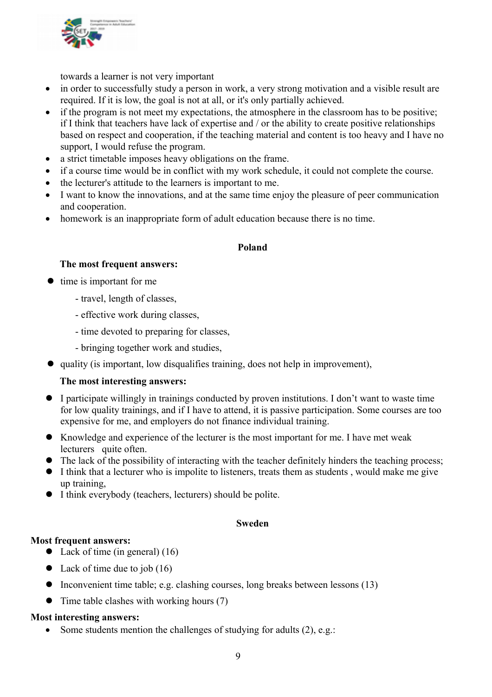

towards a learner is not very important

- in order to successfully study a person in work, a very strong motivation and a visible result are required. If it is low, the goal is not at all, or it's only partially achieved.
- if the program is not meet my expectations, the atmosphere in the classroom has to be positive; if I think that teachers have lack of expertise and / or the ability to create positive relationships based on respect and cooperation, if the teaching material and content is too heavy and I have no support, I would refuse the program.
- a strict timetable imposes heavy obligations on the frame.
- if a course time would be in conflict with my work schedule, it could not complete the course.
- the lecturer's attitude to the learners is important to me.
- I want to know the innovations, and at the same time enjoy the pleasure of peer communication and cooperation.
- homework is an inappropriate form of adult education because there is no time.

### **Poland**

### **The most frequent answers:**

- $\bullet$  time is important for me
	- travel, length of classes,
	- effective work during classes,
	- time devoted to preparing for classes,
	- bringing together work and studies,
- quality (is important, low disqualifies training, does not help in improvement),

### **The most interesting answers:**

- I participate willingly in trainings conducted by proven institutions. I don't want to waste time for low quality trainings, and if I have to attend, it is passive participation. Some courses are too expensive for me, and employers do not finance individual training.
- Knowledge and experience of the lecturer is the most important for me. I have met weak lecturers quite often.
- The lack of the possibility of interacting with the teacher definitely hinders the teaching process:
- I think that a lecturer who is impolite to listeners, treats them as students , would make me give up training,
- I think everybody (teachers, lecturers) should be polite.

### **Sweden**

### **Most frequent answers:**

- Lack of time (in general) (16)
- Lack of time due to job  $(16)$
- $\bullet$  Inconvenient time table; e.g. clashing courses, long breaks between lessons (13)
- Time table clashes with working hours (7)

### **Most interesting answers:**

Some students mention the challenges of studying for adults (2), e.g.: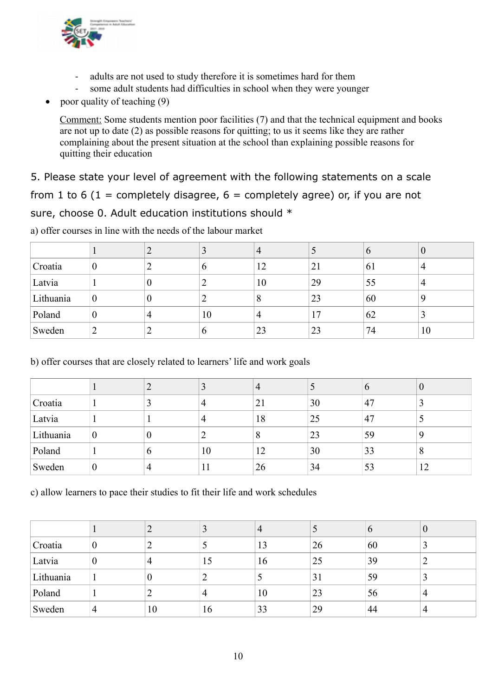

- adults are not used to study therefore it is sometimes hard for them
- some adult students had difficulties in school when they were younger
- poor quality of teaching (9)

Comment: Some students mention poor facilities (7) and that the technical equipment and books are not up to date (2) as possible reasons for quitting; to us it seems like they are rather complaining about the present situation at the school than explaining possible reasons for quitting their education

5. Please state your level of agreement with the following statements on a scale from 1 to 6 (1 = completely disagree,  $6$  = completely agree) or, if you are not sure, choose 0. Adult education institutions should \*

|           |                  |   |    | $\overline{4}$ |    | v  | v  |
|-----------|------------------|---|----|----------------|----|----|----|
| Croatia   | $\overline{0}$   |   | O  | 12             | 21 | 61 |    |
| Latvia    |                  | U |    | 10             | 29 | 55 |    |
| Lithuania | $\boldsymbol{0}$ | O |    | 8              | 23 | 60 |    |
| Poland    | $\overline{0}$   | 4 | 10 | 4              | 17 | 62 |    |
| Sweden    | ∠                |   | b  | 23             | 23 | 74 | 10 |

a) offer courses in line with the needs of the labour market

b) offer courses that are closely related to learners' life and work goals

|           |   |   |    | 4  | J  | O  | V  |
|-----------|---|---|----|----|----|----|----|
| Croatia   |   |   |    | 21 | 30 | 47 |    |
| Latvia    |   |   |    | 18 | 25 | 47 |    |
| Lithuania | 0 |   |    | 8  | 23 | 59 | q  |
| Poland    |   | O | 10 | 12 | 30 | 33 | 8  |
| Sweden    | v |   | 11 | 26 | 34 | 53 | 12 |

c) allow learners to pace their studies to fit their life and work schedules

|           |   | ∽  |    | 4  |    | $\mathfrak{b}$ | V |
|-----------|---|----|----|----|----|----------------|---|
| Croatia   | U |    |    | 13 | 26 | 60             |   |
| Latvia    | 0 |    | 15 | 16 | 25 | 39             |   |
| Lithuania |   | O  |    |    | 31 | 59             | C |
| Poland    |   |    |    | 10 | 23 | 56             | 4 |
| Sweden    | 4 | 10 | 16 | 33 | 29 | 44             |   |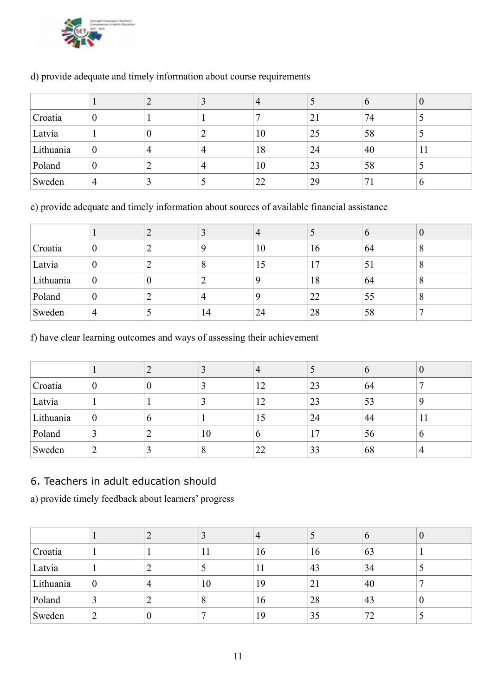

|           |                |   |   | $\overline{4}$ |    | O  | U  |
|-----------|----------------|---|---|----------------|----|----|----|
| Croatia   | 0              |   |   |                | 21 | 74 |    |
| Latvia    |                | υ |   | 10             | 25 | 58 | ر  |
| Lithuania | $\overline{0}$ |   |   | 18             | 24 | 40 | 11 |
| Poland    | $\theta$       |   | 4 | 10             | 23 | 58 |    |
| Sweden    | 4              |   |   | 22             | 29 |    | O  |

### d) provide adequate and timely information about course requirements

e) provide adequate and timely information about sources of available financial assistance

|           |                  |   |    | $\overline{4}$ |    | $\sigma$ | $\bf{0}$ |
|-----------|------------------|---|----|----------------|----|----------|----------|
| Croatia   | $\boldsymbol{0}$ |   |    | 10             | 16 | 64       | 8        |
| Latvia    | $\overline{0}$   |   |    | 15             | 17 | 51       | 8        |
| Lithuania | $\boldsymbol{0}$ | U |    | Q              | 18 | 64       | 8        |
| Poland    | $\overline{0}$   |   |    | Q              | 22 | 55       | 8        |
| Sweden    | $\overline{4}$   |   | 14 | 24             | 28 | 58       |          |

f) have clear learning outcomes and ways of assessing their achievement

|           |                  |   |    | $\overline{4}$ |    | O  | v  |
|-----------|------------------|---|----|----------------|----|----|----|
| Croatia   |                  |   |    | 12             | 23 | 64 |    |
| Latvia    |                  |   |    | 12             | 23 | 53 |    |
| Lithuania | $\boldsymbol{0}$ | O |    | 15             | 24 | 44 | 11 |
| Poland    |                  |   | 10 | $\mathfrak b$  | 17 | 56 | O  |
| Sweden    |                  |   |    | 22             | 33 | 68 |    |

# 6. Teachers in adult education should

a) provide timely feedback about learners' progress

|           |                |   |    | $\overline{4}$ |    | $\sigma$ | v |
|-----------|----------------|---|----|----------------|----|----------|---|
| Croatia   |                |   |    | 16             | 16 | 63       |   |
| Latvia    |                |   |    |                | 43 | 34       |   |
| Lithuania | $\overline{0}$ |   | 10 | 19             | 21 | 40       |   |
| Poland    |                |   | 8  | 16             | 28 | 43       | U |
| Sweden    | ∼              | 0 |    | 19             | 35 | 72       |   |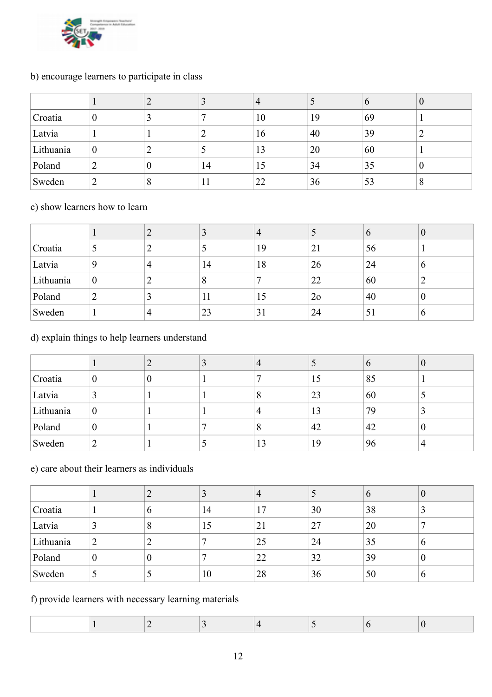

# b) encourage learners to participate in class

|           |                  |                  |    | 4  |    | $\Omega$ | O        |
|-----------|------------------|------------------|----|----|----|----------|----------|
| Croatia   | $\theta$         |                  |    | 10 | 19 | 69       |          |
| Latvia    |                  |                  |    | 16 | 40 | 39       |          |
| Lithuania | $\boldsymbol{0}$ |                  |    | 13 | 20 | 60       |          |
| Poland    | ∠                | $\boldsymbol{0}$ | 14 | 15 | 34 | 35       | $\theta$ |
| Sweden    | ∠                | 8                |    | 22 | 36 | 53       | 8        |

# c) show learners how to learn

|           |   |   |    | 4  |                | $\Omega$ | U                |
|-----------|---|---|----|----|----------------|----------|------------------|
| Croatia   |   |   |    | 19 | 21             | 56       |                  |
| Latvia    |   | 4 | 14 | 18 | 26             | 24       | $\mathfrak b$    |
| Lithuania | U |   |    |    | 22             | 60       | ◠                |
| Poland    |   |   | 11 | 15 | 2 <sub>o</sub> | 40       | $\boldsymbol{0}$ |
| Sweden    |   |   | 23 | 31 | 24             | 51       | $\mathfrak b$    |

# d) explain things to help learners understand

|           |          |   | 4  |    | O  |   |
|-----------|----------|---|----|----|----|---|
| Croatia   |          | 0 |    | 15 | 85 |   |
| Latvia    |          |   | 8  | 23 | 60 |   |
| Lithuania | $\theta$ |   | 4  | 13 | 79 |   |
| Poland    |          |   | 8  | 42 | 42 | v |
| Sweden    |          |   | 13 | 19 | 96 |   |

# e) care about their learners as individuals

|           |                |   |    | 4  |    | $\mathfrak{b}$ | v           |
|-----------|----------------|---|----|----|----|----------------|-------------|
| Croatia   |                | O | 14 | 17 | 30 | 38             |             |
| Latvia    |                | 8 | 15 | 21 | 27 | 20             |             |
| Lithuania | ∠              |   |    | 25 | 24 | 35             | $\mathbf 0$ |
| Poland    | $\overline{0}$ | 0 |    | 22 | 32 | 39             | v           |
| Sweden    |                |   | 10 | 28 | 36 | 50             | O           |

# f) provide learners with necessary learning materials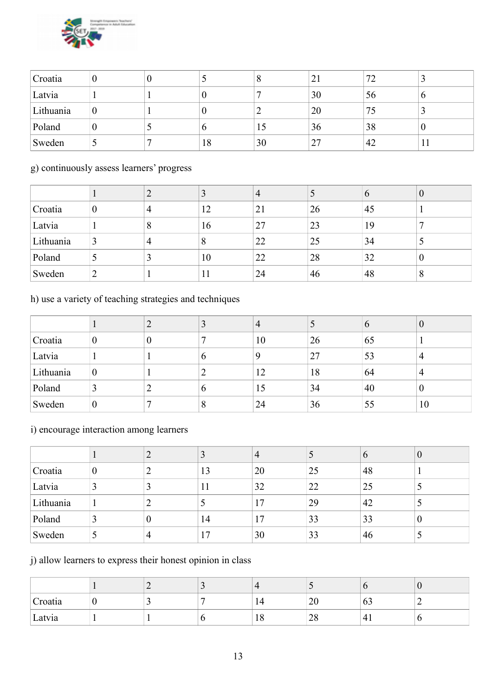

| Croatia   | O |    | 8  | $\angle 1$ | 72  |         |
|-----------|---|----|----|------------|-----|---------|
| Latvia    |   |    |    | 30         | 56  | O       |
| Lithuania |   |    | ∸  | 20         | כ ו |         |
| Poland    |   |    | 10 | 36         | 38  | O       |
| Sweden    |   | 18 | 30 | 27         | 42  | $\perp$ |

### g) continuously assess learners' progress

|           |                |   |     | 4  |    | $\mathbf{O}$ | V                |
|-----------|----------------|---|-----|----|----|--------------|------------------|
| Croatia   | $\overline{0}$ | 4 | 12  | 21 | 26 | 45           |                  |
| Latvia    |                | 8 | 16  | 27 | 23 | 19           |                  |
| Lithuania |                | 4 |     | 22 | 25 | 34           | J                |
| Poland    |                |   | 10  | 22 | 28 | 32           | $\boldsymbol{0}$ |
| Sweden    | ∼              |   | 1 I | 24 | 46 | 48           | 8                |

# h) use a variety of teaching strategies and techniques

|           |                  |   | 4  |    | $\mathbf 0$ |    |
|-----------|------------------|---|----|----|-------------|----|
| Croatia   | $\overline{0}$   | U | 10 | 26 | 65          |    |
| Latvia    |                  |   | Q  | 27 | 53          | 4  |
| Lithuania | $\boldsymbol{0}$ |   | 12 | 18 | 64          | 4  |
| Poland    | $\sim$           |   | 15 | 34 | 40          | v  |
| Sweden    | $\boldsymbol{0}$ |   | 24 | 36 | 55          | 10 |

# i) encourage interaction among learners

|           |          |   |    | 4   |    | $\mathfrak{v}$ | v |
|-----------|----------|---|----|-----|----|----------------|---|
| Croatia   | $\theta$ |   | 13 | 20  | 25 | 48             |   |
| Latvia    |          |   |    | 32  | 22 | 25             |   |
| Lithuania |          |   |    | l 7 | 29 | 42             |   |
| Poland    |          | U | 14 |     | 33 | 33             | O |
| Sweden    |          |   | -7 | 30  | 33 | 46             |   |

# j) allow learners to express their honest opinion in class

| Croatia |  |    | 20 | 03   |  |
|---------|--|----|----|------|--|
| Latvia  |  | 10 | 28 | $+1$ |  |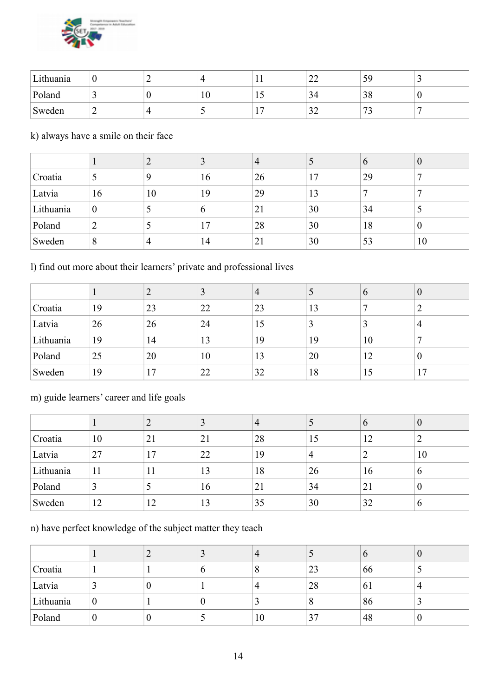

| Lithuania | ν | -  |           | . .      | $\sim$<br>∠∠     | 59                              | - |
|-----------|---|----|-----------|----------|------------------|---------------------------------|---|
| Poland    |   | л. | $10^{-1}$ | ⊥ ~      | 34               | റ വ<br>20                       | v |
| Sweden    | ∽ |    |           | <b>.</b> | $\bigcap$<br>ے ر | $\overline{\phantom{a}}$<br>ر ، |   |

k) always have a smile on their face

|           |                  |    |    | $\overline{4}$ |    | $\sigma$ | ν  |
|-----------|------------------|----|----|----------------|----|----------|----|
| Croatia   |                  |    | 16 | 26             | 17 | 29       |    |
| Latvia    | 16               | 10 | 19 | 29             | 13 |          |    |
| Lithuania | $\boldsymbol{0}$ |    | O  | 21             | 30 | 34       | ر  |
| Poland    | ∠                |    | 17 | 28             | 30 | 18       | v  |
| Sweden    | 8                |    | 14 | 21             | 30 | 53       | 10 |

l) find out more about their learners' private and professional lives

|           |    |    |    | 4  | J  | $\mathbf{O}$ | v        |
|-----------|----|----|----|----|----|--------------|----------|
| Croatia   | 19 | 23 | 22 | 23 | 13 |              | ∍<br>∠   |
| Latvia    | 26 | 26 | 24 | 15 | 3  |              | 4        |
| Lithuania | 19 | 14 | 13 | 19 | 19 | 10           | −        |
| Poland    | 25 | 20 | 10 | 13 | 20 | 12           | $\theta$ |
| Sweden    | 19 | 17 | 22 | 32 | 18 | 15           | 17       |

# m) guide learners' career and life goals

|           |    |    |    | $\overline{4}$ |                | $\mathbf b$ | $\boldsymbol{0}$ |
|-----------|----|----|----|----------------|----------------|-------------|------------------|
| Croatia   | 10 | 21 | 21 | 28             | 15             | 12          | ာ                |
| Latvia    | 27 | 17 | 22 | 19             | $\overline{4}$ |             | 10               |
| Lithuania | 11 | 11 | 13 | 18             | 26             | 16          | $\mathbf b$      |
| Poland    |    |    | 16 | 21             | 34             | 21          | $\boldsymbol{0}$ |
| Sweden    | 12 | 12 | 13 | 35             | 30             | 32          | b                |

n) have perfect knowledge of the subject matter they teach

|           |                  |   | 4  |                   |    |  |
|-----------|------------------|---|----|-------------------|----|--|
| Croatia   |                  |   |    | 23                | 66 |  |
| Latvia    |                  | U | 4  | 28                | 61 |  |
| Lithuania | $\boldsymbol{0}$ |   |    | $\mathbf{\Omega}$ | 86 |  |
| Poland    | U                | U | 10 | 37                | 48 |  |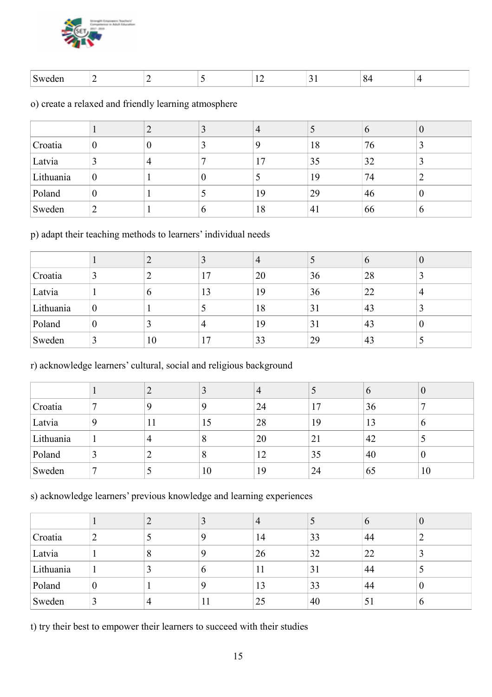

| яен<br>$\lambda$ |  |  |  |  |
|------------------|--|--|--|--|

o) create a relaxed and friendly learning atmosphere

|           |          |  | 4  |    | $\Omega$ | v        |
|-----------|----------|--|----|----|----------|----------|
| Croatia   | O        |  | Q  | 18 | 76       | Ĵ        |
| Latvia    |          |  | 17 | 35 | 32       |          |
| Lithuania | $\theta$ |  |    | 19 | 74       |          |
| Poland    | $\theta$ |  | 19 | 29 | 46       | $\theta$ |
| Sweden    |          |  | 18 | 41 | 66       | O        |

p) adapt their teaching methods to learners' individual needs

|           |                  |    |                 | 4  |    | O  | $\bf{0}$         |
|-----------|------------------|----|-----------------|----|----|----|------------------|
| Croatia   |                  |    | $\overline{17}$ | 20 | 36 | 28 |                  |
| Latvia    |                  | O  | 13              | 19 | 36 | 22 | 4                |
| Lithuania | $\boldsymbol{0}$ |    |                 | 18 | 31 | 43 |                  |
| Poland    | $\theta$         |    |                 | 19 | 31 | 43 | $\boldsymbol{0}$ |
| Sweden    |                  | 10 | $\overline{17}$ | 33 | 29 | 43 |                  |

r) acknowledge learners' cultural, social and religious background

|           |    |    | 4  |    | $\mathbf b$ | $\theta$ |
|-----------|----|----|----|----|-------------|----------|
| Croatia   | Q  |    | 24 | 17 | 36          | ┑        |
| Latvia    | 11 | 15 | 28 | 19 | 13          | O        |
| Lithuania | 4  |    | 20 | 21 | 42          |          |
| Poland    |    |    | 12 | 35 | 40          | 0        |
| Sweden    |    | 10 | 19 | 24 | 65          | 10       |

s) acknowledge learners' previous knowledge and learning experiences

|           |                |         |   | $\overline{4}$ |    | $\Omega$                 | ν |
|-----------|----------------|---------|---|----------------|----|--------------------------|---|
| Croatia   | ∼              |         |   | 14             | 33 | 44                       |   |
| Latvia    |                | $\circ$ |   | 26             | 32 | 22                       | ر |
| Lithuania |                |         | O | 11             | 31 | 44                       |   |
| Poland    | $\overline{0}$ |         |   | 13             | 33 | 44                       | U |
| Sweden    |                |         |   | 25             | 40 | $\overline{\mathcal{L}}$ | O |

t) try their best to empower their learners to succeed with their studies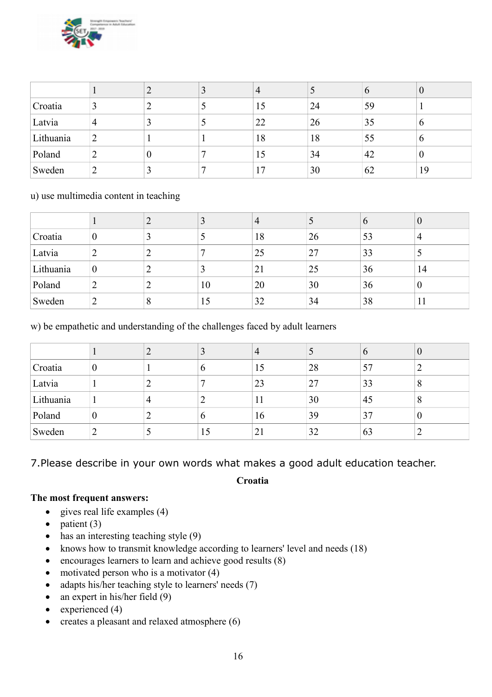

|           |   |          | $\overline{4}$ |    | O  | $\bf{0}$ |
|-----------|---|----------|----------------|----|----|----------|
| Croatia   |   |          | 15             | 24 | 59 |          |
| Latvia    | 4 |          | 22             | 26 | 35 | $\sigma$ |
| Lithuania | ∠ |          | 18             | 18 | 55 | $\sigma$ |
| Poland    | ∠ | $\theta$ | 15             | 34 | 42 | $\theta$ |
| Sweden    | ∸ |          |                | 30 | 62 | 19       |

### u) use multimedia content in teaching

|           |                  |   |    | $\overline{4}$ |    | $\sigma$ | $\bf{0}$         |
|-----------|------------------|---|----|----------------|----|----------|------------------|
| Croatia   | $\overline{0}$   |   |    | 18             | 26 | 53       | 4                |
| Latvia    |                  |   |    | 25             | 27 | 33       |                  |
| Lithuania | $\boldsymbol{0}$ |   |    | 21             | 25 | 36       | 14               |
| Poland    |                  |   | 10 | 20             | 30 | 36       | $\boldsymbol{0}$ |
| Sweden    | ∸                | 8 | 15 | 32             | 34 | 38       | 11               |

w) be empathetic and understanding of the challenges faced by adult learners

|           |          |    | 4  | J  | $\mathbf{p}$ | v |
|-----------|----------|----|----|----|--------------|---|
| Croatia   | $\theta$ |    | 15 | 28 | 57           |   |
| Latvia    |          |    | 23 | 27 | 33           | 8 |
| Lithuania |          |    | 11 | 30 | 45           | 8 |
| Poland    | $\theta$ |    | 16 | 39 | 37           | 0 |
| Sweden    |          | LD | 21 | 32 | 63           |   |

7.Please describe in your own words what makes a good adult education teacher.

**Croatia**

### **The most frequent answers:**

- $\bullet$  gives real life examples (4)
- $\bullet$  patient (3)
- has an interesting teaching style (9)
- knows how to transmit knowledge according to learners' level and needs (18)
- encourages learners to learn and achieve good results  $(8)$
- motivated person who is a motivator  $(4)$
- adapts his/her teaching style to learners' needs (7)
- $\bullet$  an expert in his/her field (9)
- experienced  $(4)$
- $\bullet$  creates a pleasant and relaxed atmosphere (6)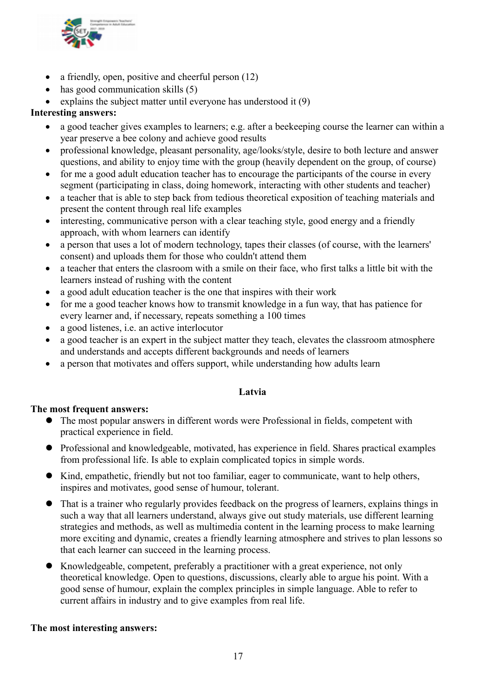

- a friendly, open, positive and cheerful person (12)
- $\bullet$  has good communication skills (5)
- explains the subject matter until everyone has understood it  $(9)$

### **Interesting answers:**

- a good teacher gives examples to learners; e.g. after a beekeeping course the learner can within a year preserve a bee colony and achieve good results
- professional knowledge, pleasant personality, age/looks/style, desire to both lecture and answer questions, and ability to enjoy time with the group (heavily dependent on the group, of course)
- for me a good adult education teacher has to encourage the participants of the course in every segment (participating in class, doing homework, interacting with other students and teacher)
- a teacher that is able to step back from tedious theoretical exposition of teaching materials and present the content through real life examples
- interesting, communicative person with a clear teaching style, good energy and a friendly approach, with whom learners can identify
- a person that uses a lot of modern technology, tapes their classes (of course, with the learners' consent) and uploads them for those who couldn't attend them
- a teacher that enters the clasroom with a smile on their face, who first talks a little bit with the learners instead of rushing with the content
- a good adult education teacher is the one that inspires with their work
- for me a good teacher knows how to transmit knowledge in a fun way, that has patience for every learner and, if necessary, repeats something a 100 times
- a good listenes, i.e. an active interlocutor
- a good teacher is an expert in the subject matter they teach, elevates the classroom atmosphere and understands and accepts different backgrounds and needs of learners
- a person that motivates and offers support, while understanding how adults learn

### **Latvia**

### **The most frequent answers:**

- The most popular answers in different words were Professional in fields, competent with practical experience in field.
- Professional and knowledgeable, motivated, has experience in field. Shares practical examples from professional life. Is able to explain complicated topics in simple words.
- Kind, empathetic, friendly but not too familiar, eager to communicate, want to help others, inspires and motivates, good sense of humour, tolerant.
- That is a trainer who regularly provides feedback on the progress of learners, explains things in such a way that all learners understand, always give out study materials, use different learning strategies and methods, as well as multimedia content in the learning process to make learning more exciting and dynamic, creates a friendly learning atmosphere and strives to plan lessons so that each learner can succeed in the learning process.
- Knowledgeable, competent, preferably a practitioner with a great experience, not only theoretical knowledge. Open to questions, discussions, clearly able to argue his point. With a good sense of humour, explain the complex principles in simple language. Able to refer to current affairs in industry and to give examples from real life.

### **The most interesting answers:**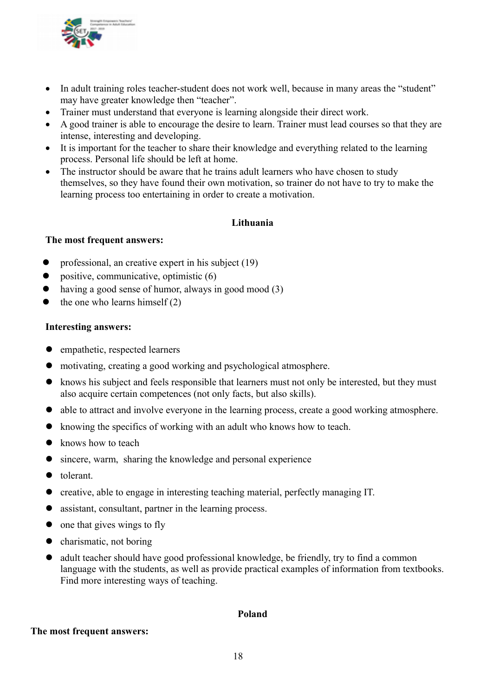

- In adult training roles teacher-student does not work well, because in many areas the "student" may have greater knowledge then "teacher".
- Trainer must understand that everyone is learning alongside their direct work.
- A good trainer is able to encourage the desire to learn. Trainer must lead courses so that they are intense, interesting and developing.
- It is important for the teacher to share their knowledge and everything related to the learning process. Personal life should be left at home.
- The instructor should be aware that he trains adult learners who have chosen to study themselves, so they have found their own motivation, so trainer do not have to try to make the learning process too entertaining in order to create a motivation.

### **Lithuania**

### **The most frequent answers:**

- professional, an creative expert in his subject (19)
- positive, communicative, optimistic (6)
- having a good sense of humor, always in good mood (3)
- the one who learns himself (2)

### **Interesting answers:**

- empathetic, respected learners
- motivating, creating a good working and psychological atmosphere.
- knows his subject and feels responsible that learners must not only be interested, but they must also acquire certain competences (not only facts, but also skills).
- able to attract and involve everyone in the learning process, create a good working atmosphere.
- knowing the specifics of working with an adult who knows how to teach.
- knows how to teach
- sincere, warm, sharing the knowledge and personal experience
- $\bullet$  tolerant.
- creative, able to engage in interesting teaching material, perfectly managing IT.
- assistant, consultant, partner in the learning process.
- $\bullet$  one that gives wings to fly
- charismatic, not boring
- adult teacher should have good professional knowledge, be friendly, try to find a common language with the students, as well as provide practical examples of information from textbooks. Find more interesting ways of teaching.

### **Poland**

#### **The most frequent answers:**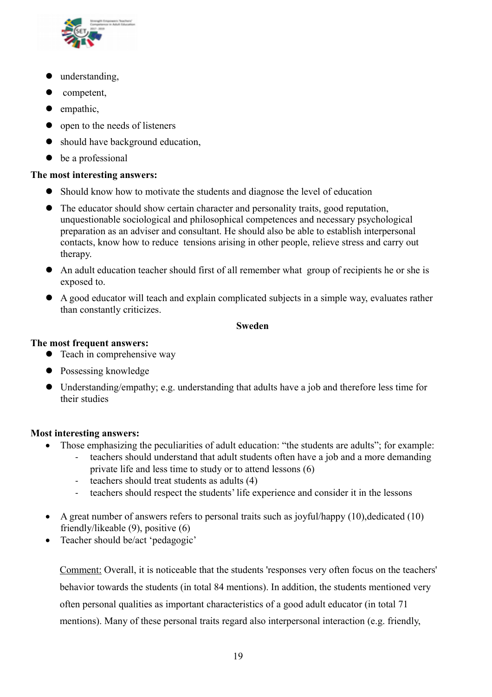

- $\bullet$  understanding,
- competent,
- $\bullet$  empathic,
- open to the needs of listeners
- should have background education,
- $\bullet$  be a professional

### **The most interesting answers:**

- Should know how to motivate the students and diagnose the level of education
- The educator should show certain character and personality traits, good reputation, unquestionable sociological and philosophical competences and necessary psychological preparation as an adviser and consultant. He should also be able to establish interpersonal contacts, know how to reduce tensions arising in other people, relieve stress and carry out therapy.
- An adult education teacher should first of all remember what group of recipients he or she is exposed to.
- A good educator will teach and explain complicated subjects in a simple way, evaluates rather than constantly criticizes.

### **Sweden**

### **The most frequent answers:**

- Teach in comprehensive way
- Possessing knowledge
- Understanding/empathy; e.g. understanding that adults have a job and therefore less time for their studies

### **Most interesting answers:**

- Those emphasizing the peculiarities of adult education: "the students are adults"; for example:
	- teachers should understand that adult students often have a job and a more demanding private life and less time to study or to attend lessons (6)
	- teachers should treat students as adults (4)
	- teachers should respect the students' life experience and consider it in the lessons
- A great number of answers refers to personal traits such as joyful/happy  $(10)$ , dedicated  $(10)$ friendly/likeable (9), positive (6)
- Teacher should be/act 'pedagogic'

Comment: Overall, it is noticeable that the students 'responses very often focus on the teachers' behavior towards the students (in total 84 mentions). In addition, the students mentioned very often personal qualities as important characteristics of a good adult educator (in total 71 mentions). Many of these personal traits regard also interpersonal interaction (e.g. friendly,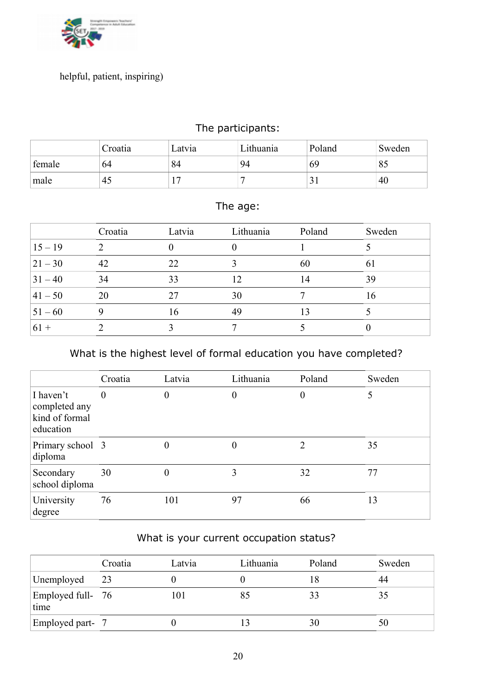

# helpful, patient, inspiring)

# The participants:

|        | Croatia | Latvia | Lithuania | Poland | Sweden |
|--------|---------|--------|-----------|--------|--------|
| female | 64      | 84     | 94        | 69     | 85     |
| male   | 45      |        |           |        | 40     |

# The age:

|            | Croatia | Latvia | Lithuania | Poland | Sweden |
|------------|---------|--------|-----------|--------|--------|
| $15 - 19$  |         |        |           |        |        |
| $ 21 - 30$ | 42      | 22     |           | 60     | 61     |
| $31 - 40$  | 34      | 33     | 12        | 14     | 39     |
| $ 41 - 50$ | 20      | 27     | 30        |        | 16     |
| $51 - 60$  |         | 16     | 49        | 13     |        |
| $61 +$     |         |        |           |        |        |

# What is the highest level of formal education you have completed?

|                                                           | Croatia        | Latvia | Lithuania | Poland   | Sweden |
|-----------------------------------------------------------|----------------|--------|-----------|----------|--------|
| I haven't<br>completed any<br>kind of formal<br>education | $\overline{0}$ | 0      | 0         | $\theta$ |        |
| Primary school 3<br>diploma                               |                |        | 0         | າ        | 35     |
| Secondary<br>school diploma                               | 30             | 0      | 3         | 32       | 77     |
| University<br>degree                                      | 76             | 101    | 97        | 66       | 13     |

# What is your current occupation status?

|                           | Croatia | Latvia | Lithuania | Poland | Sweden |
|---------------------------|---------|--------|-----------|--------|--------|
| Unemployed                | 23      |        |           |        | 44     |
| Employed full- 76<br>time |         |        | 85        | 33     | 35     |
| Employed part- 7          |         |        |           | 30     | 50     |